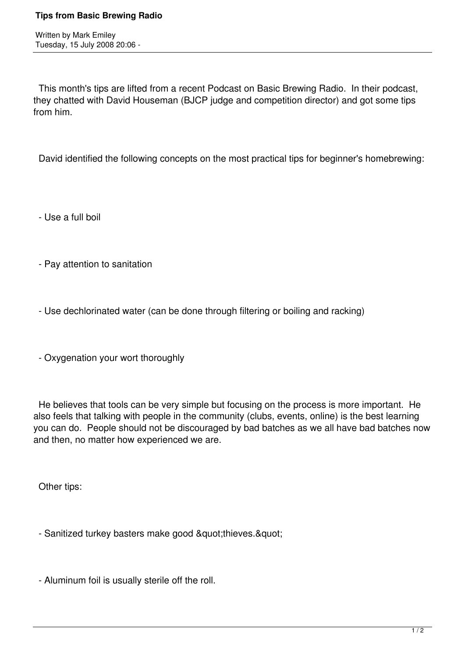Written by Mark Emiley Tuesday, 15 July 2008 20:06 -

 This month's tips are lifted from a recent Podcast on Basic Brewing Radio. In their podcast, they chatted with David Houseman (BJCP judge and competition director) and got some tips from him.

David identified the following concepts on the most practical tips for beginner's homebrewing:

- Use a full boil

- Pay attention to sanitation

- Use dechlorinated water (can be done through filtering or boiling and racking)

- Oxygenation your wort thoroughly

 He believes that tools can be very simple but focusing on the process is more important. He also feels that talking with people in the community (clubs, events, online) is the best learning you can do. People should not be discouraged by bad batches as we all have bad batches now and then, no matter how experienced we are.

Other tips:

- Sanitized turkey basters make good &quot:thieves. &quot:

- Aluminum foil is usually sterile off the roll.